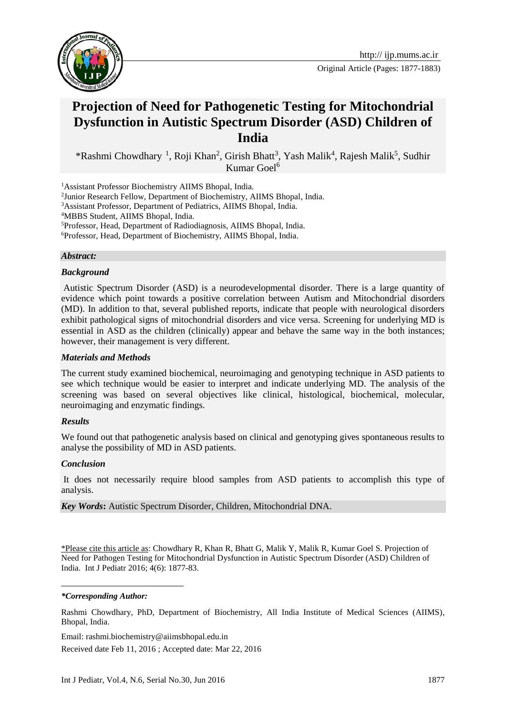

Original Article (Pages: 1877-1883)

# **Projection of Need for Pathogenetic Testing for Mitochondrial Dysfunction in Autistic Spectrum Disorder (ASD) Children of India**

\*Rashmi Chowdhary<sup>1</sup>, Roji Khan<sup>2</sup>, Girish Bhatt<sup>3</sup>, Yash Malik<sup>4</sup>, Rajesh Malik<sup>5</sup>, Sudhir Kumar Goel<sup>6</sup>

<sup>1</sup>Assistant Professor Biochemistry AIIMS Bhopal, India.

<sup>3</sup>Assistant Professor, Department of Pediatrics, AIIMS Bhopal, India.

<sup>4</sup>MBBS Student, AIIMS Bhopal, India.

<sup>5</sup>Professor, Head, Department of Radiodiagnosis, AIIMS Bhopal, India.

<sup>6</sup>Professor, Head, Department of Biochemistry, AIIMS Bhopal, India.

#### *Abstract:*

#### *Background*

Autistic Spectrum Disorder (ASD) is a neurodevelopmental disorder. There is a large quantity of evidence which point towards a positive correlation between Autism and Mitochondrial disorders (MD). In addition to that, several published reports, indicate that people with neurological disorders exhibit pathological signs of mitochondrial disorders and vice versa. Screening for underlying MD is essential in ASD as the children (clinically) appear and behave the same way in the both instances; however, their management is very different.

#### *Materials and Methods*

The current study examined biochemical, neuroimaging and genotyping technique in ASD patients to see which technique would be easier to interpret and indicate underlying MD. The analysis of the screening was based on several objectives like clinical, histological, biochemical, molecular, neuroimaging and enzymatic findings.

#### *Results*

We found out that pathogenetic analysis based on clinical and genotyping gives spontaneous results to analyse the possibility of MD in ASD patients.

#### *Conclusion*

It does not necessarily require blood samples from ASD patients to accomplish this type of analysis.

*Key Words***:** Autistic Spectrum Disorder, Children, Mitochondrial DNA.

\*Please cite this article as: Chowdhary R, Khan R, Bhatt G, Malik Y, Malik R, Kumar Goel S. Projection of Need for Pathogen Testing for Mitochondrial Dysfunction in Autistic Spectrum Disorder (ASD) Children of India. Int J Pediatr 2016; 4(6): 1877-83.

*\*Corresponding Author:*

1

Rashmi Chowdhary, PhD, Department of Biochemistry, All India Institute of Medical Sciences (AIIMS), Bhopal, India.

Email: rashmi.biochemistry@aiimsbhopal.edu.in

Received date Feb 11, 2016 ; Accepted date: Mar 22, 2016

<sup>&</sup>lt;sup>2</sup> Junior Research Fellow, Department of Biochemistry, AIIMS Bhopal, India.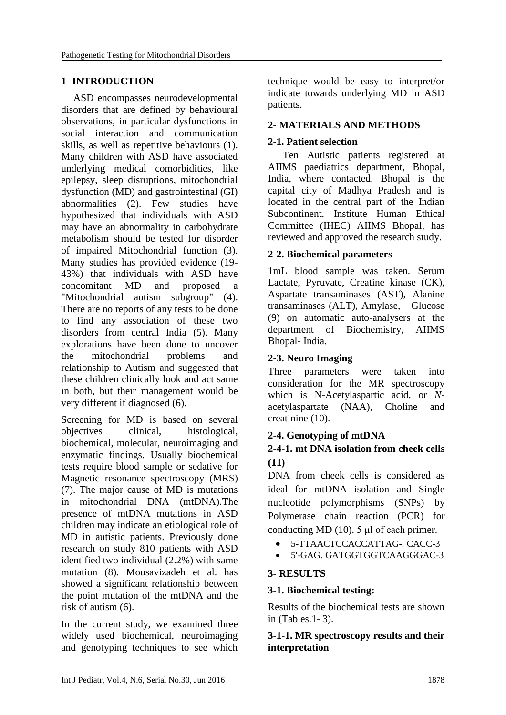# **1- INTRODUCTION**

ASD encompasses neurodevelopmental disorders that are defined by behavioural observations, in particular dysfunctions in social interaction and communication skills, as well as repetitive behaviours (1). Many children with ASD have associated underlying medical comorbidities, like epilepsy, sleep disruptions, mitochondrial dysfunction (MD) and gastrointestinal (GI) abnormalities (2). Few studies have hypothesized that individuals with ASD may have an abnormality in carbohydrate metabolism should be tested for disorder of impaired Mitochondrial function (3). Many studies has provided evidence (19- 43%) that individuals with ASD have concomitant MD and proposed a "Mitochondrial autism subgroup" (4). There are no reports of any tests to be done to find any association of these two disorders from central India (5). Many explorations have been done to uncover the mitochondrial problems and relationship to Autism and suggested that these children clinically look and act same in both, but their management would be very different if diagnosed (6).

Screening for MD is based on several objectives clinical, histological, biochemical, molecular, neuroimaging and enzymatic findings. Usually biochemical tests require blood sample or sedative for Magnetic resonance spectroscopy (MRS) (7). The major cause of MD is mutations in mitochondrial DNA (mtDNA).The presence of mtDNA mutations in ASD children may indicate an etiological role of MD in autistic patients. Previously done research on study 810 patients with ASD identified two individual (2.2%) with same mutation (8). Mousavizadeh et al. has showed a significant relationship between the point mutation of the mtDNA and the risk of autism (6).

In the current study, we examined three widely used biochemical, neuroimaging and genotyping techniques to see which technique would be easy to interpret/or indicate towards underlying MD in ASD patients.

# **2- MATERIALS AND METHODS**

# **2-1. Patient selection**

Ten Autistic patients registered at AIIMS paediatrics department, Bhopal, India, where contacted. Bhopal is the capital city of Madhya Pradesh and is located in the central part of the Indian Subcontinent. Institute Human Ethical Committee (IHEC) AIIMS Bhopal, has reviewed and approved the research study.

### **2-2. Biochemical parameters**

1mL blood sample was taken. Serum Lactate, Pyruvate, Creatine kinase (CK), Aspartate transaminases (AST), Alanine transaminases (ALT), Amylase, Glucose (9) on automatic auto-analysers at the department of Biochemistry, AIIMS Bhopal- India.

# **2-3. Neuro Imaging**

Three parameters were taken into consideration for the MR spectroscopy which is N-Acetylaspartic acid, or *N*acetylaspartate (NAA), Choline and creatinine (10).

# **2-4. Genotyping of mtDNA**

# **2-4-1. mt DNA isolation from cheek cells (11)**

DNA from cheek cells is considered as ideal for mtDNA isolation and Single nucleotide polymorphisms (SNPs) by Polymerase chain reaction (PCR) for conducting MD (10). 5  $\mu$ l of each primer.

- 5-TTAACTCCACCATTAG*-.* CACC*-*3
- 5'-GAG*.* GATGGTGGTCAAGGGAC*-*3

# **3- RESULTS**

### **3-1. Biochemical testing:**

Results of the biochemical tests are shown in (Tables.1- 3).

# **3-1-1. MR spectroscopy results and their interpretation**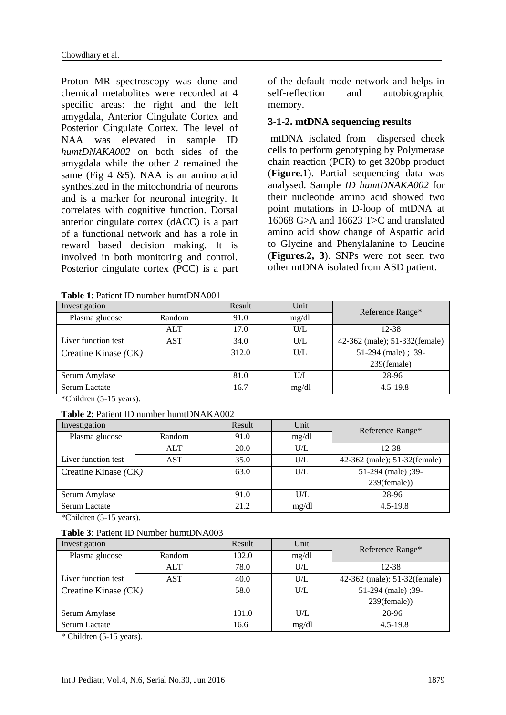Proton MR spectroscopy was done and chemical metabolites were recorded at 4 specific areas: the right and the left amygdala, Anterior Cingulate Cortex and Posterior Cingulate Cortex. The level of NAA was elevated in sample ID *humtDNAKA002* on both sides of the amygdala while the other 2 remained the same (Fig 4 &5). NAA is an amino acid synthesized in the mitochondria of neurons and is a marker for neuronal integrity. It correlates with cognitive function. Dorsal anterior cingulate cortex (dACC) is a part of a functional network and has a role in reward based decision making. It is involved in both monitoring and control. Posterior cingulate cortex (PCC) is a part

|--|

of the default mode network and helps in self-reflection and autobiographic memory.

### **3-1-2. mtDNA sequencing results**

mtDNA isolated from dispersed cheek cells to perform genotyping by Polymerase chain reaction (PCR) to get 320bp product (**Figure.1**). Partial sequencing data was analysed. Sample *ID humtDNAKA002* for their nucleotide amino acid showed two point mutations in D-loop of mtDNA at 16068 G>A and 16623 T>C and translated amino acid show change of Aspartic acid to Glycine and Phenylalanine to Leucine (**Figures.2, 3**). SNPs were not seen two other mtDNA isolated from ASD patient.

| Investigation            |            | Result | Unit  | Reference Range*              |  |
|--------------------------|------------|--------|-------|-------------------------------|--|
| Plasma glucose<br>Random |            | 91.0   | mg/dl |                               |  |
|                          | <b>ALT</b> | 17.0   | U/L   | 12-38                         |  |
| Liver function test      | <b>AST</b> | 34.0   | U/L   | 42-362 (male); 51-332(female) |  |
| Creatine Kinase (CK)     |            | 312.0  | U/L   | 51-294 (male); 39-            |  |
|                          |            |        |       | 239(female)                   |  |
| Serum Amylase            |            | 81.0   | U/L   | 28-96                         |  |
| Serum Lactate            |            | 16.7   | mg/dl | $4.5 - 19.8$                  |  |

\*Children (5-15 years).

#### **Table 2**: Patient ID number humtDNAKA002

| Investigation            |            | Result | Unit  | Reference Range*              |  |
|--------------------------|------------|--------|-------|-------------------------------|--|
| Plasma glucose<br>Random |            | 91.0   | mg/dl |                               |  |
|                          | <b>ALT</b> | 20.0   | U/L   | 12-38                         |  |
| Liver function test      | <b>AST</b> | 35.0   | U/L   | 42-362 (male); 51-32 (female) |  |
| Creatine Kinase (CK)     |            | 63.0   | U/L   | 51-294 (male) ;39-            |  |
|                          |            |        |       | $239$ (female))               |  |
| Serum Amylase            |            | 91.0   | U/L   | 28-96                         |  |
| Serum Lactate            |            | 21.2   | mg/dl | $4.5 - 19.8$                  |  |

\*Children (5-15 years).

| <b>Table 3: Patient ID Number humtDNA003</b> |
|----------------------------------------------|
|----------------------------------------------|

| Investigation            |            | Result | Unit  | Reference Range*              |  |
|--------------------------|------------|--------|-------|-------------------------------|--|
| Plasma glucose<br>Random |            | 102.0  | mg/dl |                               |  |
|                          | <b>ALT</b> | 78.0   | U/L   | 12-38                         |  |
| Liver function test      | <b>AST</b> | 40.0   | U/L   | 42-362 (male); 51-32 (female) |  |
| Creatine Kinase (CK)     |            | 58.0   | U/L   | 51-294 (male) ;39-            |  |
|                          |            |        |       | $239$ (female))               |  |
| Serum Amylase            |            | 131.0  | U/L   | 28-96                         |  |
| Serum Lactate            |            | 16.6   | mg/dl | $4.5 - 19.8$                  |  |

\* Children (5-15 years).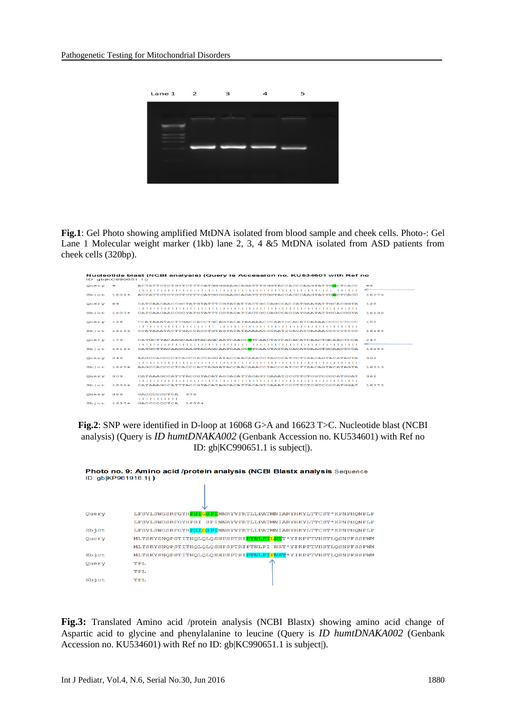

**Fig.1**: Gel Photo showing amplified MtDNA isolated from blood sample and cheek cells. Photo-: Gel Lane 1 Molecular weight marker (1kb) lane 2, 3, 4 &5 MtDNA isolated from ASD patients from cheek cells (320bp).

| Ouery | $\Theta$ | ACTATTCTCTGTTCTTTCATGGGGAAGCAGATTTGGGTACCACCCAAGTATTGGCTCACC | eя    |
|-------|----------|--------------------------------------------------------------|-------|
|       |          |                                                              | ÷     |
| Sbict | 16014    | ACTATTCTCTGTTCTTTCATGGGGAAGCAGATTTGGGTACCACCCAAGTATTGACTCACC | 16073 |
| Query | 69       |                                                              | 128   |
|       |          |                                                              |       |
| Sbict | 16074    |                                                              | 16133 |
| Query | 129      | CCATAAATACTTGACCACCTGCAGTACATAAAAACCCAATCCACATCAAAACCCCCTCCC | 188   |
|       |          |                                                              |       |
| Sbict | 16134    | CCATAAATACTTGACCACCTGTAGTACATAAAAACCCAATCCACATCAAAACCCCCTCCC | 16193 |
| Query | 189      | CATGCTTACAAGCAAGTACAGCAATCAACCTTCAACTATCACACATCAACTGCAACTCCA | 248   |
|       |          |                                                              | ←     |
| 5bjcb | 16194    | CATGCTTACAAGCAAGTACAGCAATCAACCCTCAACTATCACACATCAACTGCAACTCCA | 16253 |
| Query | 249      | AAGCCACCCCTCACCCACTAGGATACCAACAAACCTACCCATCCTTAACAGTACATAGTA | 308   |
|       |          |                                                              |       |
| Sb1c  | 16254    | AAGCCACCCCTCACCCACTAGGATACCAACAAACCTACCCATCCTTAACAGTACATAGTA | 16313 |
| Query | 309      | CATAAAGCCATTTACCGTACATAGCACATTACAGTCAAATCCCTTCTCGTCCCCATGGAT | 368   |
|       |          |                                                              |       |
| Sbict | 16314    | CATAAAGCCATTTACCGTACATAGCACATTACAGTCAAATCCCTTCTCGTCCCCATGGAT | 16373 |
| Ouerv | 369      | GACCCCCCTCA<br>379                                           |       |
|       |          | .                                                            |       |
| Sbict | 16374    | GACCCCCCTCA<br>16384                                         |       |

**Fig.2**: SNP were identified in D-loop at 16068 G>A and 16623 T>C. Nucleotide blast (NCBI analysis) (Query is *ID humtDNAKA002* (Genbank Accession no. KU534601) with Ref no ID: [gb|KC990651.1 is subject|\)](http://www.ncbi.nlm.nih.gov/nucleotide/540070159?report=genbank&log$=nuclalign&blast_rank=4&RID=57X405P9014).

| Photo no. 9: Amino acid /protein analysis (NCBI Blastx analysis Sequence<br>ID: gb KP961916.1  ) |                                                                             |  |  |  |
|--------------------------------------------------------------------------------------------------|-----------------------------------------------------------------------------|--|--|--|
|                                                                                                  |                                                                             |  |  |  |
| Query                                                                                            | LFSVLSWGSRFGYHPSIGSPINNRYVFRTLLPATMNIARYHKYLTTCST*KPNPHQNPLP                |  |  |  |
|                                                                                                  | LFSVLSWGSRFGYHPSI SPINNRYVFRTLLPATMNIARYHKYLTTCST*KPNPHONPLP                |  |  |  |
| Sbjct                                                                                            | LFSVLSWGSRFGYHPSIDSPINNRYVFRTLLPATMNIARYHKYLTTCST*KPNPHQNPLP                |  |  |  |
| Ouery                                                                                            | MLTSKYSNQPSTITHQLQLQSHPSPTRI <mark>PTNLPILNS</mark> T*YIKPFTVHSTLQSNPFSSPWM |  |  |  |
|                                                                                                  | MLTSKYSNOPSTITHOLOLOSHPSPTRIPTNLPI NST*YIKPFTVHSTLOSNPFSSPWM                |  |  |  |
| Sbjct                                                                                            | MLTSKYSNQPSTITHQLQLQSHPSPTRIPTNLPIFNST*YIKPFTVHSTLQSNPFSSPWM                |  |  |  |
| Query                                                                                            | <b>TPL</b>                                                                  |  |  |  |
|                                                                                                  | TPL                                                                         |  |  |  |
| Sbjct                                                                                            | TPL.                                                                        |  |  |  |

**Fig.3:** Translated Amino acid /protein analysis (NCBI Blastx) showing amino acid change of Aspartic acid to glycine and phenylalanine to leucine (Query is *ID humtDNAKA002* (Genbank Accession no. KU534601) with Ref no ID: [gb|KC990651.1 is subject|\)](http://www.ncbi.nlm.nih.gov/nucleotide/540070159?report=genbank&log$=nuclalign&blast_rank=4&RID=57X405P9014).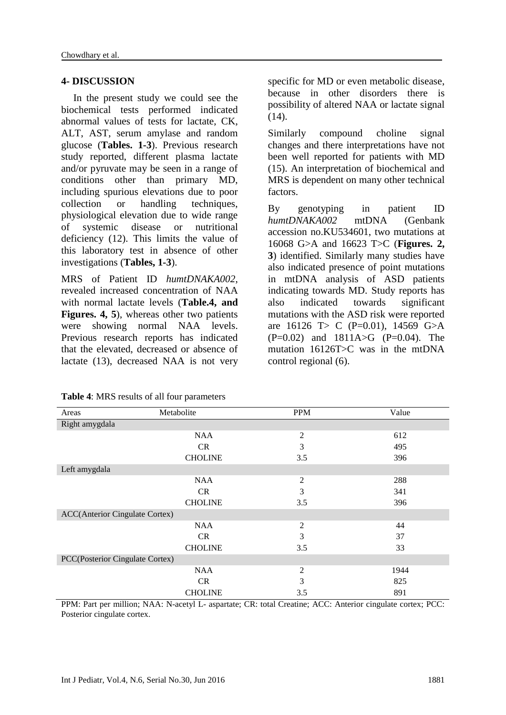### **4- DISCUSSION**

In the present study we could see the biochemical tests performed indicated abnormal values of tests for lactate, CK, ALT, AST, serum amylase and random glucose (**Tables. 1-3**). Previous research study reported, different plasma lactate and/or pyruvate may be seen in a range of conditions other than primary MD, including spurious elevations due to poor collection or handling techniques, physiological elevation due to wide range of systemic disease or nutritional deficiency (12). This limits the value of this laboratory test in absence of other investigations (**Tables, 1-3**).

MRS of Patient ID *humtDNAKA002*, revealed increased concentration of NAA with normal lactate levels (**Table.4, and Figures. 4, 5**), whereas other two patients were showing normal NAA levels. Previous research reports has indicated that the elevated, decreased or absence of lactate (13), decreased NAA is not very

specific for MD or even metabolic disease, because in other disorders there is possibility of altered NAA or lactate signal (14).

Similarly compound choline signal changes and there interpretations have not been well reported for patients with MD (15). An interpretation of biochemical and MRS is dependent on many other technical factors.

By genotyping in patient ID *humtDNAKA002* mtDNA (Genbank accession no.KU534601, two mutations at 16068 G>A and 16623 T>C (**Figures. 2, 3**) identified. Similarly many studies have also indicated presence of point mutations in mtDNA analysis of ASD patients indicating towards MD. Study reports has also indicated towards significant mutations with the ASD risk were reported are 16126 T > C (P=0.01), 14569 G > A  $(P=0.02)$  and  $1811A > G$   $(P=0.04)$ . The mutation 16126T>C was in the mtDNA control regional (6).

| Areas                                  | Metabolite     | <b>PPM</b>     | Value |  |
|----------------------------------------|----------------|----------------|-------|--|
| Right amygdala                         |                |                |       |  |
|                                        | <b>NAA</b>     | $\overline{c}$ | 612   |  |
|                                        | CR             | 3              | 495   |  |
|                                        | <b>CHOLINE</b> | 3.5            | 396   |  |
| Left amygdala                          |                |                |       |  |
|                                        | <b>NAA</b>     | $\overline{2}$ | 288   |  |
|                                        | <b>CR</b>      | 3              | 341   |  |
|                                        | <b>CHOLINE</b> | 3.5            | 396   |  |
| <b>ACC</b> (Anterior Cingulate Cortex) |                |                |       |  |
|                                        | <b>NAA</b>     | $\overline{2}$ | 44    |  |
|                                        | CR             | 3              | 37    |  |
|                                        | <b>CHOLINE</b> | 3.5            | 33    |  |
| PCC(Posterior Cingulate Cortex)        |                |                |       |  |
|                                        | <b>NAA</b>     | $\overline{2}$ | 1944  |  |
|                                        | CR.            | 3              | 825   |  |
|                                        | <b>CHOLINE</b> | 3.5            | 891   |  |

**Table 4**: MRS results of all four parameters

PPM: Part per million; NAA: N-acetyl L- aspartate; CR: total Creatine; ACC: Anterior cingulate cortex; PCC: Posterior cingulate cortex.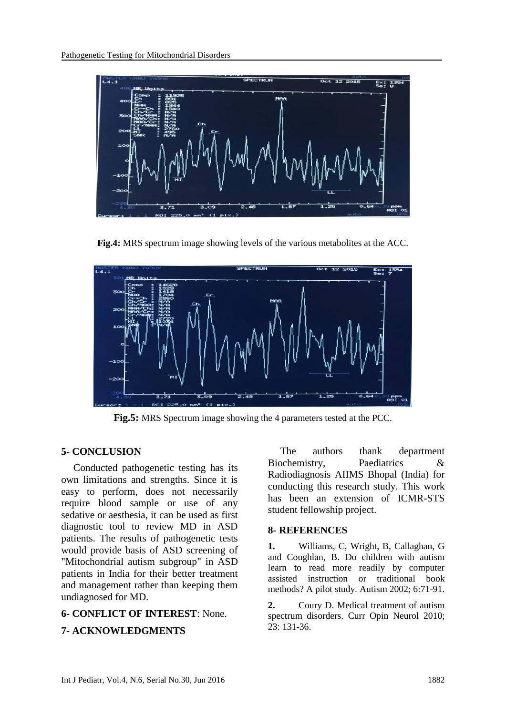

**Fig.4:** MRS spectrum image showing levels of the various metabolites at the ACC.



**Fig.5:** MRS Spectrum image showing the 4 parameters tested at the PCC.

### **5- CONCLUSION**

Conducted pathogenetic testing has its own limitations and strengths. Since it is easy to perform, does not necessarily require blood sample or use of any sedative or aesthesia, it can be used as first diagnostic tool to review MD in ASD patients. The results of pathogenetic tests would provide basis of ASD screening of "Mitochondrial autism subgroup" in ASD patients in India for their better treatment and management rather than keeping them undiagnosed for MD.

### **6- CONFLICT OF INTEREST**: None.

### **7- ACKNOWLEDGMENTS**

The authors thank department Biochemistry, Paediatrics & Radiodiagnosis AIIMS Bhopal (India) for conducting this research study. This work has been an extension of ICMR-STS student fellowship project.

#### **8- REFERENCES**

**1.** Williams, C, Wright, B, Callaghan, G and Coughlan, B. Do children with autism learn to read more readily by computer assisted instruction or traditional book methods? A pilot study. Autism 2002; 6:71-91.

**2.** Coury D. Medical treatment of autism spectrum disorders. Curr Opin Neurol 2010; 23: 131-36.